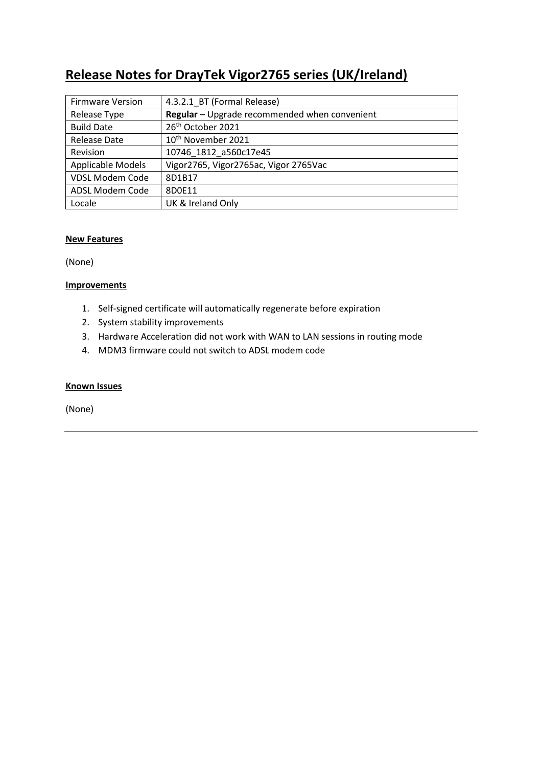# **Release Notes for DrayTek Vigor2765 series (UK/Ireland)**

| <b>Firmware Version</b> | 4.3.2.1 BT (Formal Release)                   |
|-------------------------|-----------------------------------------------|
| Release Type            | Regular - Upgrade recommended when convenient |
| <b>Build Date</b>       | 26 <sup>th</sup> October 2021                 |
| <b>Release Date</b>     | 10 <sup>th</sup> November 2021                |
| Revision                | 10746_1812_a560c17e45                         |
| Applicable Models       | Vigor2765, Vigor2765ac, Vigor 2765Vac         |
| <b>VDSL Modem Code</b>  | 8D1B17                                        |
| ADSL Modem Code         | 8D0E11                                        |
| Locale                  | UK & Ireland Only                             |

### **New Features**

(None)

### **Improvements**

- 1. Self-signed certificate will automatically regenerate before expiration
- 2. System stability improvements
- 3. Hardware Acceleration did not work with WAN to LAN sessions in routing mode
- 4. MDM3 firmware could not switch to ADSL modem code

### **Known Issues**

(None)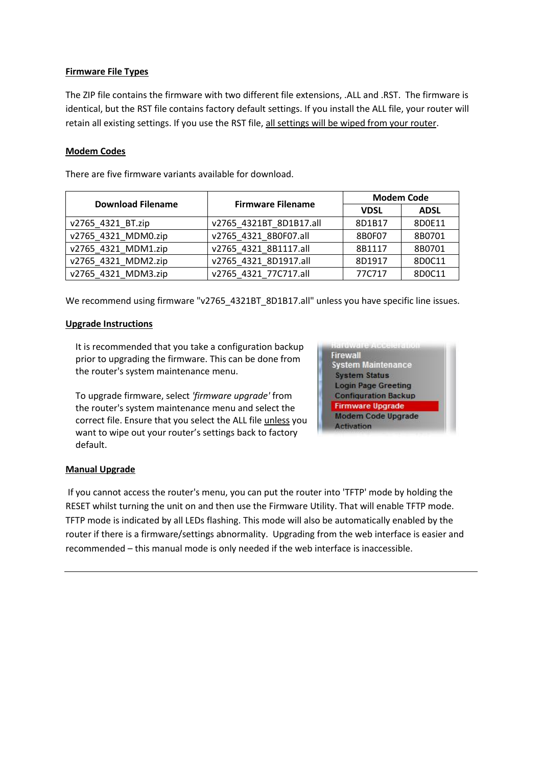### **Firmware File Types**

The ZIP file contains the firmware with two different file extensions, .ALL and .RST. The firmware is identical, but the RST file contains factory default settings. If you install the ALL file, your router will retain all existing settings. If you use the RST file, all settings will be wiped from your router.

### **Modem Codes**

There are five firmware variants available for download.

| <b>Download Filename</b> | <b>Firmware Filename</b> | <b>Modem Code</b> |             |
|--------------------------|--------------------------|-------------------|-------------|
|                          |                          | <b>VDSL</b>       | <b>ADSL</b> |
| v2765 4321 BT.zip        | v2765 4321BT 8D1B17.all  | 8D1B17            | 8D0E11      |
| v2765 4321 MDM0.zip      | v2765 4321 8B0F07.all    | 8B0F07            | 8B0701      |
| v2765 4321 MDM1.zip      | v2765 4321 8B1117.all    | 8B1117            | 8B0701      |
| v2765 4321 MDM2.zip      | v2765 4321 8D1917.all    | 8D1917            | 8D0C11      |
| v2765 4321 MDM3.zip      | v2765 4321 77C717.all    | 77C717            | 8D0C11      |

We recommend using firmware "v2765\_4321BT\_8D1B17.all" unless you have specific line issues.

#### **Upgrade Instructions**

It is recommended that you take a configuration backup prior to upgrading the firmware. This can be done from the router's system maintenance menu.

To upgrade firmware, select *'firmware upgrade'* from the router's system maintenance menu and select the correct file. Ensure that you select the ALL file unless you want to wipe out your router's settings back to factory default.



#### **Manual Upgrade**

If you cannot access the router's menu, you can put the router into 'TFTP' mode by holding the RESET whilst turning the unit on and then use the Firmware Utility. That will enable TFTP mode. TFTP mode is indicated by all LEDs flashing. This mode will also be automatically enabled by the router if there is a firmware/settings abnormality. Upgrading from the web interface is easier and recommended – this manual mode is only needed if the web interface is inaccessible.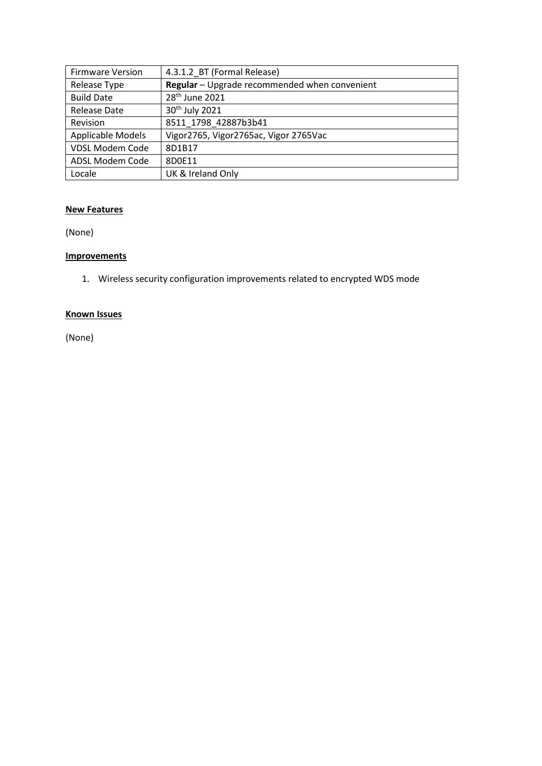| <b>Firmware Version</b> | 4.3.1.2 BT (Formal Release)                   |
|-------------------------|-----------------------------------------------|
| Release Type            | Regular - Upgrade recommended when convenient |
| <b>Build Date</b>       | 28 <sup>th</sup> June 2021                    |
| Release Date            | 30 <sup>th</sup> July 2021                    |
| Revision                | 8511 1798 42887b3b41                          |
| Applicable Models       | Vigor2765, Vigor2765ac, Vigor 2765Vac         |
| <b>VDSL Modem Code</b>  | 8D1B17                                        |
| ADSL Modem Code         | 8D0E11                                        |
| Locale                  | UK & Ireland Only                             |

### **New Features**

(None)

# **Improvements**

1. Wireless security configuration improvements related to encrypted WDS mode

# **Known Issues**

(None)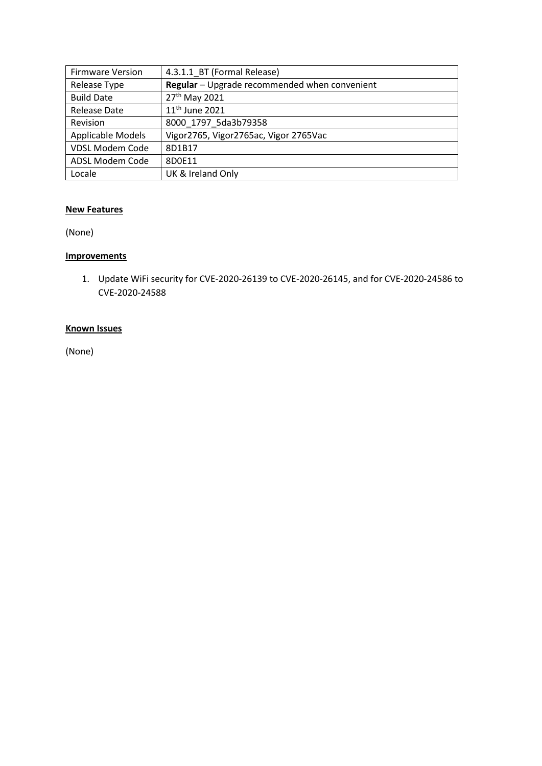| <b>Firmware Version</b> | 4.3.1.1 BT (Formal Release)                   |
|-------------------------|-----------------------------------------------|
| Release Type            | Regular - Upgrade recommended when convenient |
| <b>Build Date</b>       | 27 <sup>th</sup> May 2021                     |
| Release Date            | 11 <sup>th</sup> June 2021                    |
| Revision                | 8000 1797 5da3b79358                          |
| Applicable Models       | Vigor2765, Vigor2765ac, Vigor 2765Vac         |
| <b>VDSL Modem Code</b>  | 8D1B17                                        |
| ADSL Modem Code         | 8D0E11                                        |
| Locale                  | UK & Ireland Only                             |

### **New Features**

(None)

# **Improvements**

1. Update WiFi security for CVE-2020-26139 to CVE-2020-26145, and for CVE-2020-24586 to CVE-2020-24588

# **Known Issues**

(None)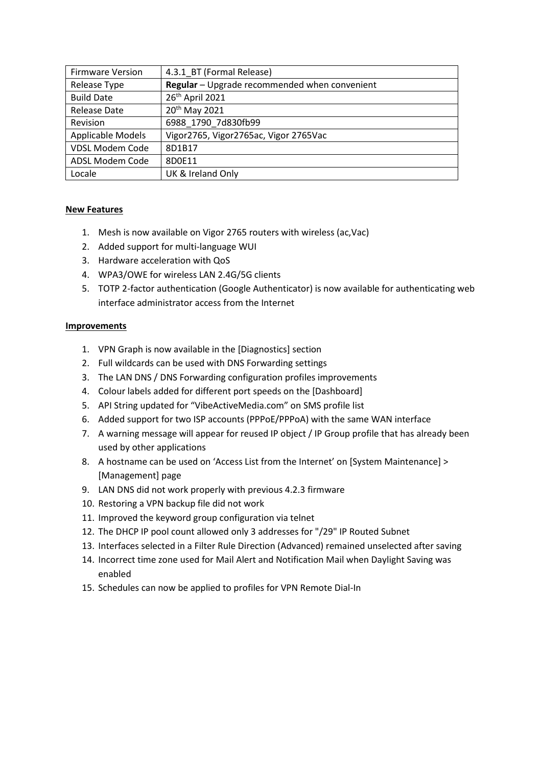| <b>Firmware Version</b> | 4.3.1 BT (Formal Release)                     |
|-------------------------|-----------------------------------------------|
| Release Type            | Regular - Upgrade recommended when convenient |
| <b>Build Date</b>       | 26th April 2021                               |
| Release Date            | 20 <sup>th</sup> May 2021                     |
| Revision                | 6988 1790 7d830fb99                           |
| Applicable Models       | Vigor2765, Vigor2765ac, Vigor 2765Vac         |
| <b>VDSL Modem Code</b>  | 8D1B17                                        |
| ADSL Modem Code         | 8D0E11                                        |
| Locale                  | UK & Ireland Only                             |

### **New Features**

- 1. Mesh is now available on Vigor 2765 routers with wireless (ac,Vac)
- 2. Added support for multi-language WUI
- 3. Hardware acceleration with QoS
- 4. WPA3/OWE for wireless LAN 2.4G/5G clients
- 5. TOTP 2-factor authentication (Google Authenticator) is now available for authenticating web interface administrator access from the Internet

#### **Improvements**

- 1. VPN Graph is now available in the [Diagnostics] section
- 2. Full wildcards can be used with DNS Forwarding settings
- 3. The LAN DNS / DNS Forwarding configuration profiles improvements
- 4. Colour labels added for different port speeds on the [Dashboard]
- 5. API String updated for "VibeActiveMedia.com" on SMS profile list
- 6. Added support for two ISP accounts (PPPoE/PPPoA) with the same WAN interface
- 7. A warning message will appear for reused IP object / IP Group profile that has already been used by other applications
- 8. A hostname can be used on 'Access List from the Internet' on [System Maintenance] > [Management] page
- 9. LAN DNS did not work properly with previous 4.2.3 firmware
- 10. Restoring a VPN backup file did not work
- 11. Improved the keyword group configuration via telnet
- 12. The DHCP IP pool count allowed only 3 addresses for "/29" IP Routed Subnet
- 13. Interfaces selected in a Filter Rule Direction (Advanced) remained unselected after saving
- 14. Incorrect time zone used for Mail Alert and Notification Mail when Daylight Saving was enabled
- 15. Schedules can now be applied to profiles for VPN Remote Dial-In